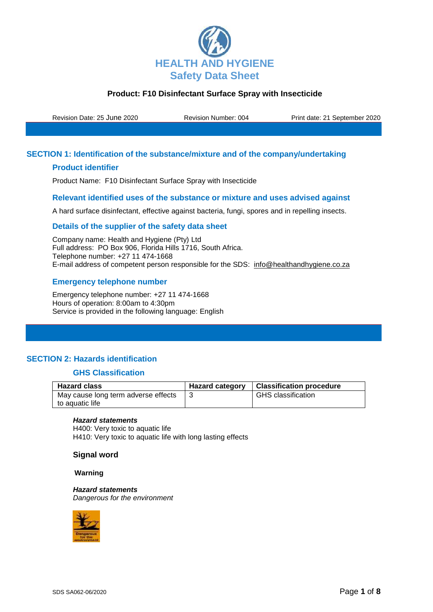

Revision Date: 25 June 2020 Revision Number: 004 Print date: 21 September 2020

## **SECTION 1: Identification of the substance/mixture and of the company/undertaking**

## **Product identifier**

Product Name: F10 Disinfectant Surface Spray with Insecticide

## **Relevant identified uses of the substance or mixture and uses advised against**

A hard surface disinfectant, effective against bacteria, fungi, spores and in repelling insects.

### **Details of the supplier of the safety data sheet**

Company name: Health and Hygiene (Pty) Ltd Full address: PO Box 906, Florida Hills 1716, South Africa. Telephone number: +27 11 474-1668 E-mail address of competent person responsible for the SDS: info@healthandhygiene.co.za

## **Emergency telephone number**

Emergency telephone number: +27 11 474-1668 Hours of operation: 8:00am to 4:30pm Service is provided in the following language: English

## **SECTION 2: Hazards identification**

## **GHS Classification**

| <b>Hazard class</b>                                    | <b>Hazard category</b> | Classification procedure  |
|--------------------------------------------------------|------------------------|---------------------------|
| May cause long term adverse effects<br>to aquatic life |                        | <b>GHS</b> classification |

#### *Hazard statements*

H400: Very toxic to aquatic life H410: Very toxic to aquatic life with long lasting effects

#### **Signal word**

#### **Warning**

*Hazard statements Dangerous for the environment*

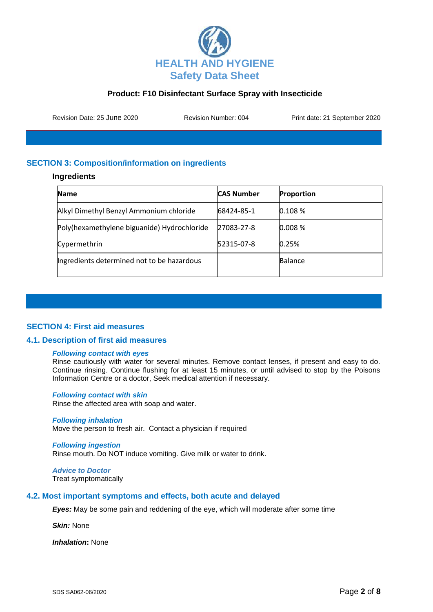

Revision Date: 25 June 2020 Revision Number: 004 Print date: 21 September 2020

# **SECTION 3: Composition/information on ingredients**

### **Ingredients**

| Name                                        | <b>CAS Number</b> | Proportion     |
|---------------------------------------------|-------------------|----------------|
| Alkyl Dimethyl Benzyl Ammonium chloride     | 68424-85-1        | 0.108 %        |
| Poly(hexamethylene biguanide) Hydrochloride | 27083-27-8        | 0.008%         |
| Cypermethrin                                | 52315-07-8        | 0.25%          |
| Ingredients determined not to be hazardous  |                   | <b>Balance</b> |

## **SECTION 4: First aid measures**

#### **4.1. Description of first aid measures**

#### *Following contact with eyes*

Rinse cautiously with water for several minutes. Remove contact lenses, if present and easy to do. Continue rinsing. Continue flushing for at least 15 minutes, or until advised to stop by the Poisons Information Centre or a doctor, Seek medical attention if necessary.

#### *Following contact with skin*

Rinse the affected area with soap and water.

#### *Following inhalation*

Move the person to fresh air. Contact a physician if required

#### *Following ingestion*

Rinse mouth. Do NOT induce vomiting. Give milk or water to drink.

*Advice to Doctor* Treat symptomatically

#### **4.2. Most important symptoms and effects, both acute and delayed**

*Eyes:* May be some pain and reddening of the eye, which will moderate after some time

*Skin:* None

*Inhalation***:** None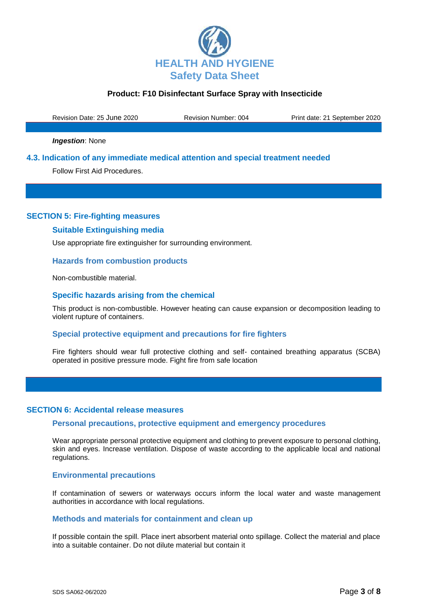

Revision Date: 25 June 2020 Revision Number: 004 Print date: 21 September 2020

*Ingestion*: None

## **4.3. Indication of any immediate medical attention and special treatment needed**

Follow First Aid Procedures.

## **SECTION 5: Fire-fighting measures**

## **Suitable Extinguishing media**

Use appropriate fire extinguisher for surrounding environment.

### **Hazards from combustion products**

Non-combustible material.

### **Specific hazards arising from the chemical**

This product is non-combustible. However heating can cause expansion or decomposition leading to violent rupture of containers.

## **Special protective equipment and precautions for fire fighters**

Fire fighters should wear full protective clothing and self- contained breathing apparatus (SCBA) operated in positive pressure mode. Fight fire from safe location

#### **SECTION 6: Accidental release measures**

#### **Personal precautions, protective equipment and emergency procedures**

Wear appropriate personal protective equipment and clothing to prevent exposure to personal clothing, skin and eyes. Increase ventilation. Dispose of waste according to the applicable local and national regulations.

#### **Environmental precautions**

If contamination of sewers or waterways occurs inform the local water and waste management authorities in accordance with local regulations.

#### **Methods and materials for containment and clean up**

If possible contain the spill. Place inert absorbent material onto spillage. Collect the material and place into a suitable container. Do not dilute material but contain it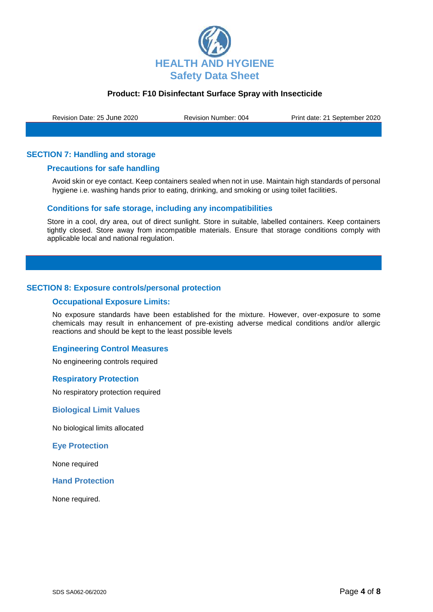

Revision Date: 25 June 2020 Revision Number: 004 Print date: 21 September 2020

## **SECTION 7: Handling and storage**

### **Precautions for safe handling**

Avoid skin or eye contact. Keep containers sealed when not in use. Maintain high standards of personal hygiene i.e. washing hands prior to eating, drinking, and smoking or using toilet facilities.

### **Conditions for safe storage, including any incompatibilities**

Store in a cool, dry area, out of direct sunlight. Store in suitable, labelled containers. Keep containers tightly closed. Store away from incompatible materials. Ensure that storage conditions comply with applicable local and national regulation.

## **SECTION 8: Exposure controls/personal protection**

#### **Occupational Exposure Limits:**

No exposure standards have been established for the mixture. However, over-exposure to some chemicals may result in enhancement of pre-existing adverse medical conditions and/or allergic reactions and should be kept to the least possible levels

### **Engineering Control Measures**

No engineering controls required

#### **Respiratory Protection**

No respiratory protection required

#### **Biological Limit Values**

No biological limits allocated

**Eye Protection**

None required

#### **Hand Protection**

None required.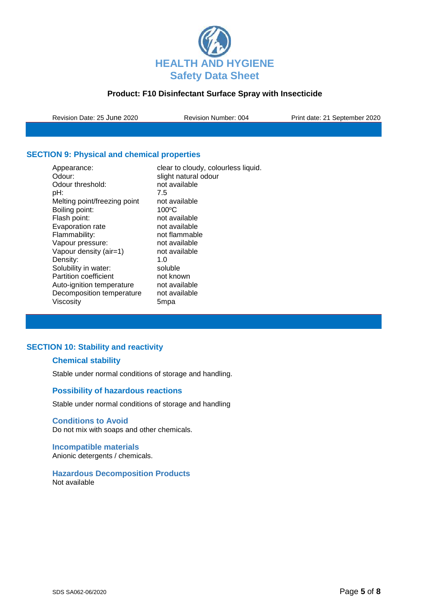

Revision Date: 25 June 2020 Revision Number: 004 Print date: 21 September 2020

# **SECTION 9: Physical and chemical properties**

| clear to cloudy, colourless liquid.<br>slight natural odour |
|-------------------------------------------------------------|
| not available                                               |
| 7.5                                                         |
| not available                                               |
| $100^{\circ}$ C                                             |
| not available                                               |
| not available                                               |
| not flammable                                               |
| not available                                               |
| not available                                               |
| 1.0                                                         |
| soluble                                                     |
| not known                                                   |
| not available                                               |
| not available                                               |
| 5mpa                                                        |
|                                                             |

# **SECTION 10: Stability and reactivity**

## **Chemical stability**

Stable under normal conditions of storage and handling.

## **Possibility of hazardous reactions**

Stable under normal conditions of storage and handling

#### **Conditions to Avoid**

Do not mix with soaps and other chemicals.

### **Incompatible materials** Anionic detergents / chemicals.

#### **Hazardous Decomposition Products** Not available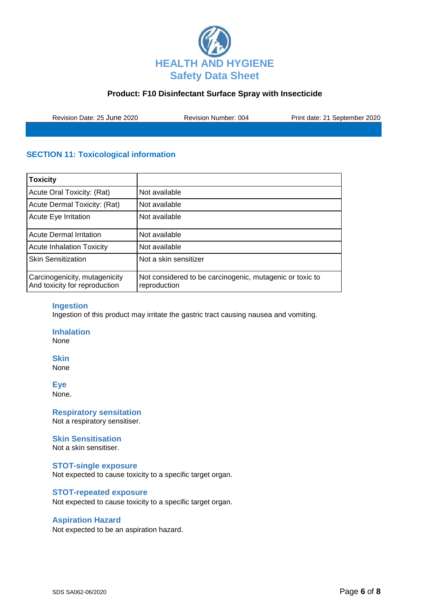

Revision Date: 25 June 2020 Revision Number: 004 Print date: 21 September 2020

# **SECTION 11: Toxicological information**

| <b>Toxicity</b>                                                |                                                                          |
|----------------------------------------------------------------|--------------------------------------------------------------------------|
| Acute Oral Toxicity: (Rat)                                     | Not available                                                            |
| Acute Dermal Toxicity: (Rat)                                   | Not available                                                            |
| Acute Eye Irritation                                           | Not available                                                            |
| <b>Acute Dermal Irritation</b>                                 | Not available                                                            |
| <b>Acute Inhalation Toxicity</b>                               | Not available                                                            |
| <b>Skin Sensitization</b>                                      | Not a skin sensitizer                                                    |
| Carcinogenicity, mutagenicity<br>And toxicity for reproduction | Not considered to be carcinogenic, mutagenic or toxic to<br>reproduction |

### **Ingestion**

Ingestion of this product may irritate the gastric tract causing nausea and vomiting.

**Inhalation** None

**Skin**

None

**Eye**

None.

**Respiratory sensitation** Not a respiratory sensitiser.

#### **Skin Sensitisation**

Not a skin sensitiser.

### **STOT-single exposure**

Not expected to cause toxicity to a specific target organ.

### **STOT-repeated exposure**

Not expected to cause toxicity to a specific target organ.

## **Aspiration Hazard**

Not expected to be an aspiration hazard.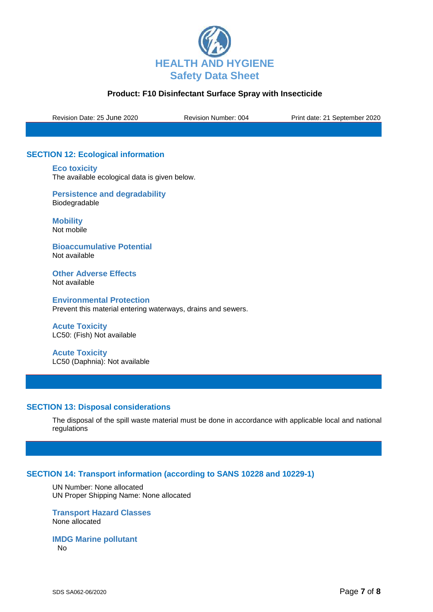

Revision Date: 25 June 2020 Revision Number: 004 Print date: 21 September 2020

# **SECTION 12: Ecological information**

**Eco toxicity**

The available ecological data is given below.

**Persistence and degradability** Biodegradable

**Mobility** Not mobile

**Bioaccumulative Potential** Not available

**Other Adverse Effects** Not available

**Environmental Protection** Prevent this material entering waterways, drains and sewers.

**Acute Toxicity**  LC50: (Fish) Not available

**Acute Toxicity**  LC50 (Daphnia): Not available

## **SECTION 13: Disposal considerations**

The disposal of the spill waste material must be done in accordance with applicable local and national regulations

## **SECTION 14: Transport information (according to SANS 10228 and 10229-1)**

UN Number: None allocated UN Proper Shipping Name: None allocated

### **Transport Hazard Classes** None allocated

**IMDG Marine pollutant** No